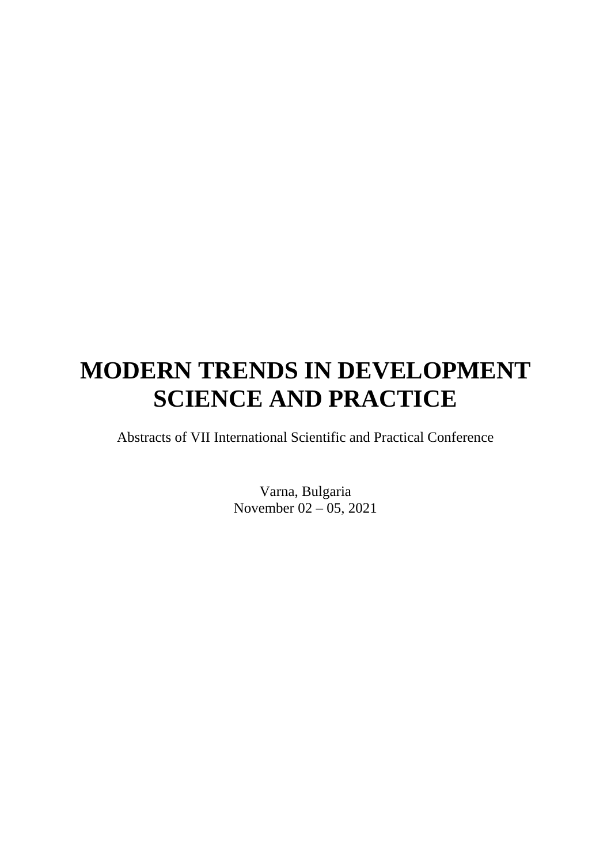# **MODERN TRENDS IN DEVELOPMENT SCIENCE AND PRACTICE**

Abstracts of VII International Scientific and Practical Conference

Varna, Bulgaria November 02 – 05, 2021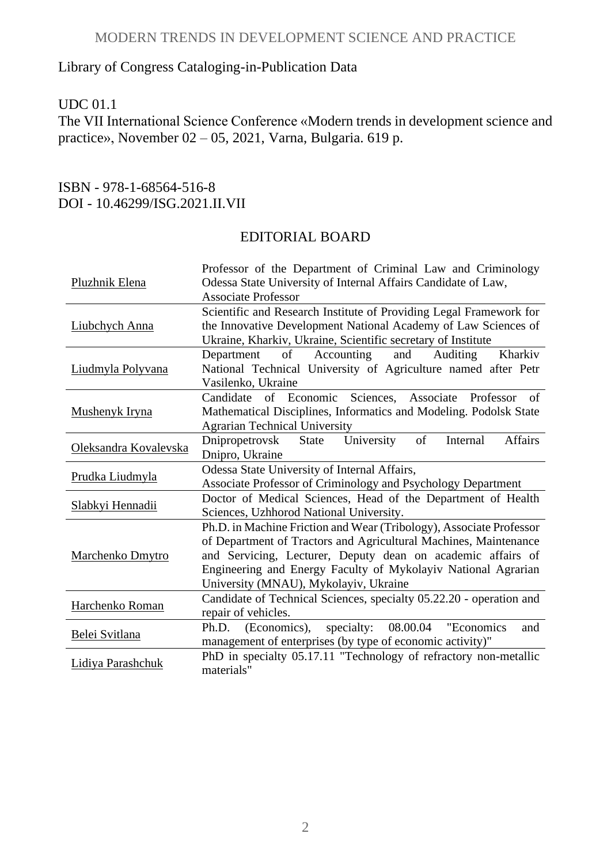#### MODERN TRENDS IN DEVELOPMENT SCIENCE AND PRACTICE

# Library of Congress Cataloging-in-Publication Data

### UDC 01.1

The VII International Science Conference «Modern trends in development science and practice», November 02 – 05, 2021, Varna, Bulgaria. 619 p.

#### ISBN - 978-1-68564-516-8 DOI - 10.46299/ISG.2021.II.VII

## EDITORIAL BOARD

|                       | Professor of the Department of Criminal Law and Criminology           |
|-----------------------|-----------------------------------------------------------------------|
| Pluzhnik Elena        | Odessa State University of Internal Affairs Candidate of Law,         |
|                       | <b>Associate Professor</b>                                            |
|                       | Scientific and Research Institute of Providing Legal Framework for    |
| Liubchych Anna        | the Innovative Development National Academy of Law Sciences of        |
|                       | Ukraine, Kharkiv, Ukraine, Scientific secretary of Institute          |
|                       | of<br>Accounting<br>Auditing<br>Kharkiv<br>and<br>Department          |
| Liudmyla Polyvana     | National Technical University of Agriculture named after Petr         |
|                       | Vasilenko, Ukraine                                                    |
|                       | Sciences,<br>of Economic<br>Candidate<br>Associate<br>Professor<br>of |
| Mushenyk Iryna        | Mathematical Disciplines, Informatics and Modeling. Podolsk State     |
|                       | <b>Agrarian Technical University</b>                                  |
| Oleksandra Kovalevska | Affairs<br>University<br>of<br>Internal<br>Dnipropetrovsk<br>State    |
|                       | Dnipro, Ukraine                                                       |
| Prudka Liudmyla       | Odessa State University of Internal Affairs,                          |
|                       | Associate Professor of Criminology and Psychology Department          |
| Slabkyi Hennadii      | Doctor of Medical Sciences, Head of the Department of Health          |
|                       | Sciences, Uzhhorod National University.                               |
|                       | Ph.D. in Machine Friction and Wear (Tribology), Associate Professor   |
|                       | of Department of Tractors and Agricultural Machines, Maintenance      |
| Marchenko Dmytro      | and Servicing, Lecturer, Deputy dean on academic affairs of           |
|                       | Engineering and Energy Faculty of Mykolayiv National Agrarian         |
|                       | University (MNAU), Mykolayiv, Ukraine                                 |
| Harchenko Roman       | Candidate of Technical Sciences, specialty 05.22.20 - operation and   |
|                       | repair of vehicles.                                                   |
| Belei Svitlana        | specialty:<br>08.00.04<br>Ph.D.<br>(Economics),<br>"Economics"<br>and |
|                       | management of enterprises (by type of economic activity)"             |
| Lidiya Parashchuk     | PhD in specialty 05.17.11 "Technology of refractory non-metallic      |
|                       | materials"                                                            |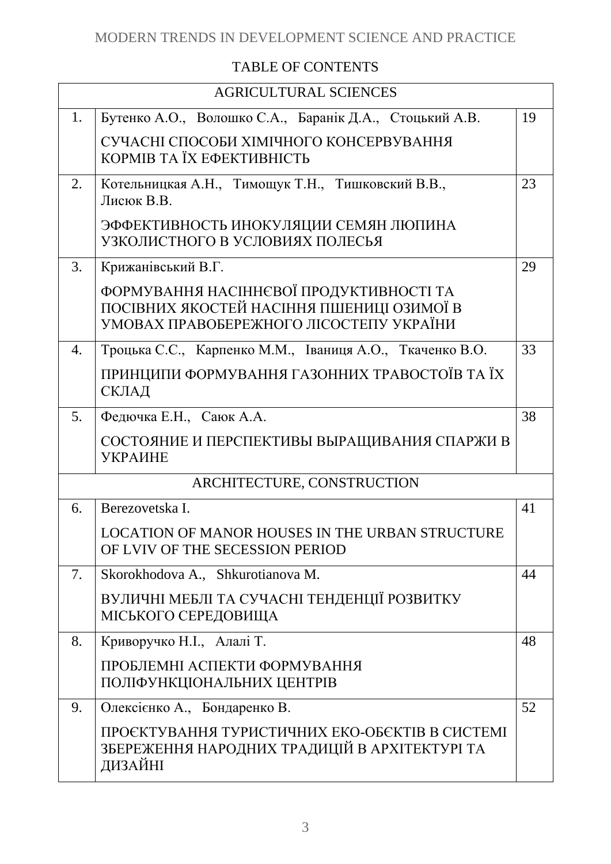# TABLE OF CONTENTS

| <b>AGRICULTURAL SCIENCES</b> |                                                                                                                                 |    |
|------------------------------|---------------------------------------------------------------------------------------------------------------------------------|----|
| 1.                           | Бутенко А.О., Волошко С.А., Баранік Д.А., Стоцький А.В.                                                                         | 19 |
|                              | СУЧАСНІ СПОСОБИ ХІМІЧНОГО КОНСЕРВУВАННЯ<br>КОРМІВ ТА ЇХ ЕФЕКТИВНІСТЬ                                                            |    |
| 2.                           | Котельницкая А.Н., Тимощук Т.Н., Тишковский В.В.,<br>Лисюк В.В.                                                                 | 23 |
|                              | ЭФФЕКТИВНОСТЬ ИНОКУЛЯЦИИ СЕМЯН ЛЮПИНА<br>УЗКОЛИСТНОГО В УСЛОВИЯХ ПОЛЕСЬЯ                                                        |    |
| 3.                           | Крижанівський В.Г.                                                                                                              | 29 |
|                              | ФОРМУВАННЯ НАСІННЄВОЇ ПРОДУКТИВНОСТІ ТА<br>ПОСІВНИХ ЯКОСТЕЙ НАСІННЯ ПШЕНИЦІ ОЗИМОЇ В<br>УМОВАХ ПРАВОБЕРЕЖНОГО ЛІСОСТЕПУ УКРАЇНИ |    |
| 4.                           | Троцька С.С., Карпенко М.М., Іваниця А.О., Ткаченко В.О.                                                                        | 33 |
|                              | ПРИНЦИПИ ФОРМУВАННЯ ГАЗОННИХ ТРАВОСТОЇВ ТА ЇХ<br>СКЛАД                                                                          |    |
| 5.                           | Федючка Е.Н., Саюк А.А.                                                                                                         | 38 |
|                              | СОСТОЯНИЕ И ПЕРСПЕКТИВЫ ВЫРАЩИВАНИЯ СПАРЖИ В<br><b>УКРАИНЕ</b>                                                                  |    |
|                              | ARCHITECTURE, CONSTRUCTION                                                                                                      |    |
| 6.                           | Berezovetska I.                                                                                                                 | 41 |
|                              | <b>LOCATION OF MANOR HOUSES IN THE URBAN STRUCTURE</b><br>OF LVIV OF THE SECESSION PERIOD                                       |    |
| 7.                           | Skorokhodova A., Shkurotianova M.                                                                                               | 44 |
|                              | ВУЛИЧНІ МЕБЛІ ТА СУЧАСНІ ТЕНДЕНЦІЇ РОЗВИТКУ<br>МІСЬКОГО СЕРЕДОВИЩА                                                              |    |
| 8.                           | Криворучко Н.І., Алалі Т.                                                                                                       | 48 |
|                              | ПРОБЛЕМНІ АСПЕКТИ ФОРМУВАННЯ<br>ПОЛІФУНКЦІОНАЛЬНИХ ЦЕНТРІВ                                                                      |    |
| 9.                           | Олексієнко А., Бондаренко В.                                                                                                    | 52 |
|                              | ПРОЄКТУВАННЯ ТУРИСТИЧНИХ ЕКО-ОБЄКТІВ В СИСТЕМІ<br>ЗБЕРЕЖЕННЯ НАРОДНИХ ТРАДИЦІЙ В АРХІТЕКТУРІ ТА<br>ДИЗАЙНІ                      |    |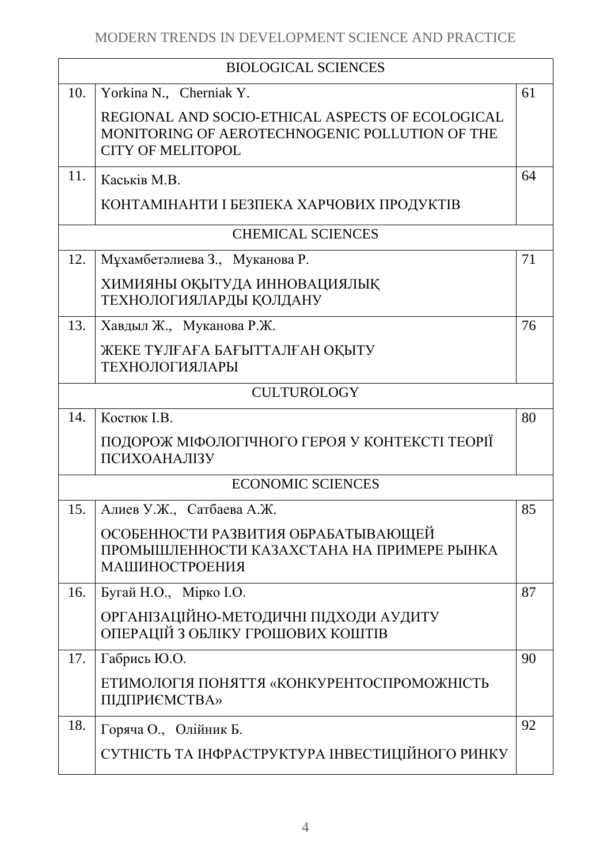| <b>BIOLOGICAL SCIENCES</b> |                                                                                                                                |    |
|----------------------------|--------------------------------------------------------------------------------------------------------------------------------|----|
| 10.                        | Yorkina N., Cherniak Y.                                                                                                        | 61 |
|                            | REGIONAL AND SOCIO-ETHICAL ASPECTS OF ECOLOGICAL<br>MONITORING OF AEROTECHNOGENIC POLLUTION OF THE<br><b>CITY OF MELITOPOL</b> |    |
| 11.                        | Каськів М.В.                                                                                                                   | 64 |
|                            | КОНТАМІНАНТИ І БЕЗПЕКА ХАРЧОВИХ ПРОДУКТІВ                                                                                      |    |
|                            | <b>CHEMICAL SCIENCES</b>                                                                                                       |    |
| 12.                        | Мұхамбетәлиева З., Муканова Р.                                                                                                 | 71 |
|                            | ХИМИЯНЫ ОҚЫТУДА ИННОВАЦИЯЛЫҚ<br>ТЕХНОЛОГИЯЛАРДЫ ҚОЛДАНУ                                                                        |    |
| 13.                        | Хавдыл Ж., Муканова Р.Ж.                                                                                                       | 76 |
|                            | ЖЕКЕ ТҰЛҒАҒА БАҒЫТТАЛҒАН ОҚЫТУ<br>ТЕХНОЛОГИЯЛАРЫ                                                                               |    |
|                            | <b>CULTUROLOGY</b>                                                                                                             |    |
| 14.                        | Костюк І.В.                                                                                                                    | 80 |
|                            | ПОДОРОЖ МІФОЛОГІЧНОГО ГЕРОЯ У КОНТЕКСТІ ТЕОРІЇ<br>ПСИХОАНАЛІЗУ                                                                 |    |
| <b>ECONOMIC SCIENCES</b>   |                                                                                                                                |    |
| 15.                        | Алиев У.Ж., Сатбаева А.Ж.                                                                                                      | 85 |
|                            | ОСОБЕННОСТИ РАЗВИТИЯ ОБРАБАТЫВАЮЩЕЙ<br>ПРОМЫШЛЕННОСТИ КАЗАХСТАНА НА ПРИМЕРЕ РЫНКА<br>МАШИНОСТРОЕНИЯ                            |    |
| 16.                        | Бугай Н.О., Мірко I.О.                                                                                                         | 87 |
|                            | ОРГАНІЗАЦІЙНО-МЕТОДИЧНІ ПІДХОДИ АУДИТУ<br>ОПЕРАЦІЙ З ОБЛІКУ ГРОШОВИХ КОШТІВ                                                    |    |
| 17.                        | Габрись Ю.О.                                                                                                                   | 90 |
|                            | ЕТИМОЛОГІЯ ПОНЯТТЯ «КОНКУРЕНТОСПРОМОЖНІСТЬ<br><b>ПІДПРИЄМСТВА»</b>                                                             |    |
| 18.                        | Горяча О., Олійник Б.                                                                                                          | 92 |
|                            | СУТНІСТЬ ТА ІНФРАСТРУКТУРА ІНВЕСТИЦІЙНОГО РИНКУ                                                                                |    |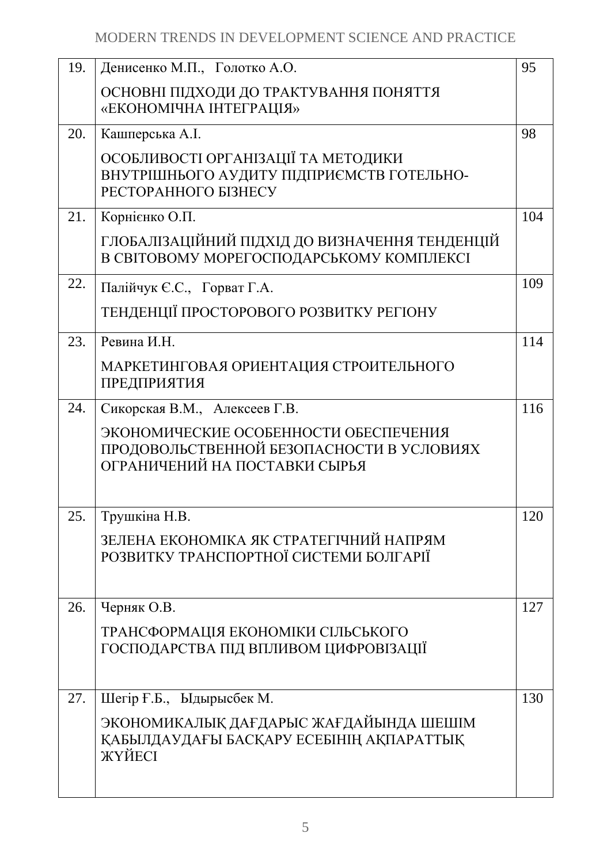| 95                                             |
|------------------------------------------------|
|                                                |
|                                                |
|                                                |
| 98                                             |
|                                                |
|                                                |
|                                                |
| 104                                            |
| ГЛОБАЛІЗАЦІЙНИЙ ПІДХІД ДО ВИЗНАЧЕННЯ ТЕНДЕНЦІЙ |
|                                                |
| 109                                            |
|                                                |
|                                                |
| 114                                            |
|                                                |
|                                                |
| 116                                            |
|                                                |
|                                                |
|                                                |
|                                                |
|                                                |
| 120                                            |
|                                                |
|                                                |
|                                                |
| 127                                            |
|                                                |
|                                                |
|                                                |
|                                                |
| 130                                            |
|                                                |
|                                                |
|                                                |
|                                                |
|                                                |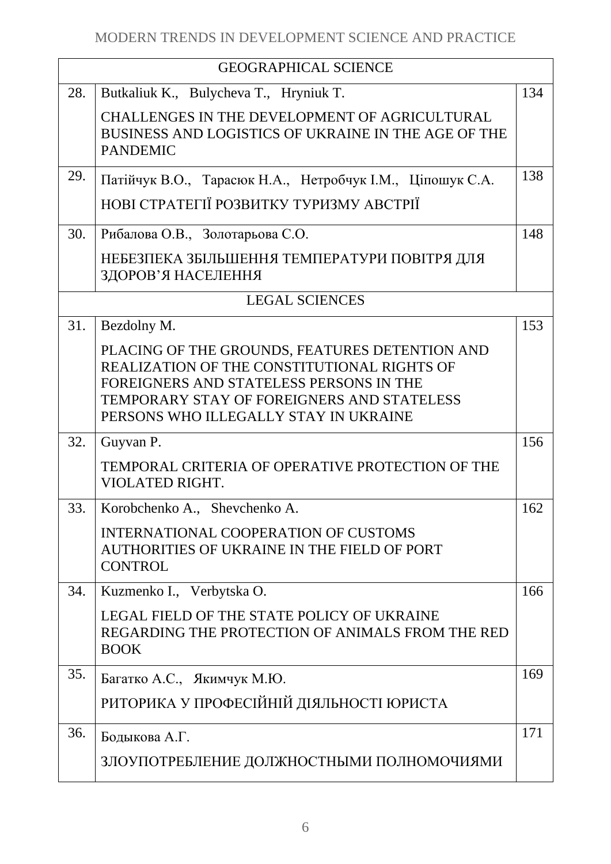| <b>GEOGRAPHICAL SCIENCE</b> |                                                                                                                                                                                                                                 |     |
|-----------------------------|---------------------------------------------------------------------------------------------------------------------------------------------------------------------------------------------------------------------------------|-----|
| 28.                         | Butkaliuk K., Bulycheva T., Hryniuk T.                                                                                                                                                                                          | 134 |
|                             | CHALLENGES IN THE DEVELOPMENT OF AGRICULTURAL<br>BUSINESS AND LOGISTICS OF UKRAINE IN THE AGE OF THE<br><b>PANDEMIC</b>                                                                                                         |     |
| 29.                         | Патійчук В.О., Тарасюк Н.А., Нетробчук І.М., Ціпошук С.А.                                                                                                                                                                       | 138 |
|                             | НОВІ СТРАТЕГІЇ РОЗВИТКУ ТУРИЗМУ АВСТРІЇ                                                                                                                                                                                         |     |
| 30.                         | Рибалова О.В., Золотарьова С.О.                                                                                                                                                                                                 | 148 |
|                             | НЕБЕЗПЕКА ЗБІЛЬШЕННЯ ТЕМПЕРАТУРИ ПОВІТРЯ ДЛЯ<br>ЗДОРОВ'Я НАСЕЛЕННЯ                                                                                                                                                              |     |
|                             | <b>LEGAL SCIENCES</b>                                                                                                                                                                                                           |     |
| 31.                         | Bezdolny M.                                                                                                                                                                                                                     | 153 |
|                             | PLACING OF THE GROUNDS, FEATURES DETENTION AND<br>REALIZATION OF THE CONSTITUTIONAL RIGHTS OF<br>FOREIGNERS AND STATELESS PERSONS IN THE<br>TEMPORARY STAY OF FOREIGNERS AND STATELESS<br>PERSONS WHO ILLEGALLY STAY IN UKRAINE |     |
| 32.                         | Guyvan P.                                                                                                                                                                                                                       | 156 |
|                             | TEMPORAL CRITERIA OF OPERATIVE PROTECTION OF THE<br>VIOLATED RIGHT.                                                                                                                                                             |     |
| 33.                         | Korobchenko A., Shevchenko A.                                                                                                                                                                                                   | 162 |
|                             | INTERNATIONAL COOPERATION OF CUSTOMS<br>AUTHORITIES OF UKRAINE IN THE FIELD OF PORT<br><b>CONTROL</b>                                                                                                                           |     |
| 34.                         | Kuzmenko I., Verbytska O.                                                                                                                                                                                                       | 166 |
|                             | LEGAL FIELD OF THE STATE POLICY OF UKRAINE<br>REGARDING THE PROTECTION OF ANIMALS FROM THE RED<br><b>BOOK</b>                                                                                                                   |     |
| 35.                         | Багатко А.С., Якимчук М.Ю.                                                                                                                                                                                                      | 169 |
|                             | РИТОРИКА У ПРОФЕСІЙНІЙ ДІЯЛЬНОСТІ ЮРИСТА                                                                                                                                                                                        |     |
| 36.                         | Бодыкова А.Г.                                                                                                                                                                                                                   | 171 |
|                             | ЗЛОУПОТРЕБЛЕНИЕ ДОЛЖНОСТНЫМИ ПОЛНОМОЧИЯМИ                                                                                                                                                                                       |     |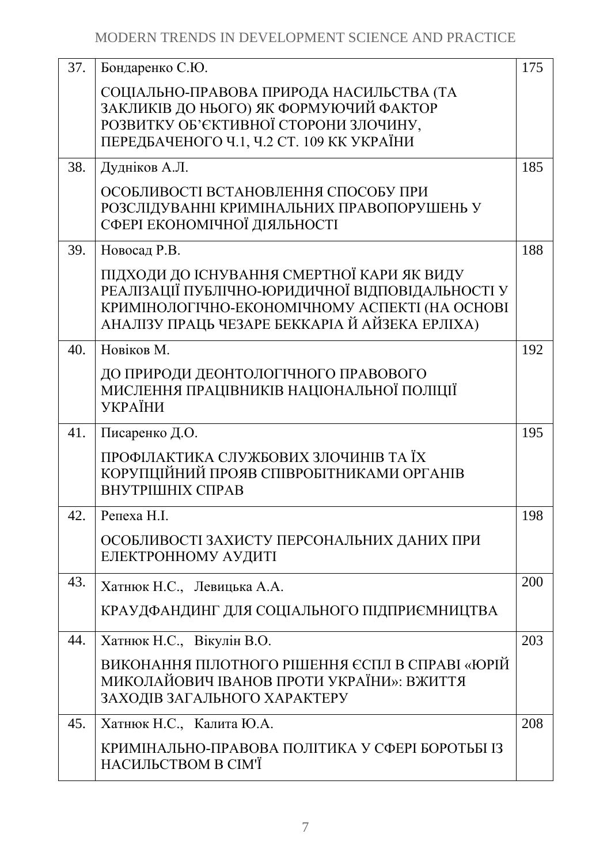| 37. | Бондаренко С.Ю.                                                                                                                                                                                    | 175 |
|-----|----------------------------------------------------------------------------------------------------------------------------------------------------------------------------------------------------|-----|
|     | СОЦІАЛЬНО-ПРАВОВА ПРИРОДА НАСИЛЬСТВА (ТА<br>ЗАКЛИКІВ ДО НЬОГО) ЯК ФОРМУЮЧИЙ ФАКТОР<br>РОЗВИТКУ ОБ'ЄКТИВНОЇ СТОРОНИ ЗЛОЧИНУ,<br>ПЕРЕДБАЧЕНОГО Ч.1, Ч.2 СТ. 109 КК УКРАЇНИ                           |     |
| 38. | Дудніков А.Л.                                                                                                                                                                                      | 185 |
|     | ОСОБЛИВОСТІ ВСТАНОВЛЕННЯ СПОСОБУ ПРИ<br>РОЗСЛІДУВАННІ КРИМІНАЛЬНИХ ПРАВОПОРУШЕНЬ У<br>СФЕРІ ЕКОНОМІЧНОЇ ДІЯЛЬНОСТІ                                                                                 |     |
| 39. | Новосад Р.В.                                                                                                                                                                                       | 188 |
|     | ПІДХОДИ ДО ІСНУВАННЯ СМЕРТНОЇ КАРИ ЯК ВИДУ<br>РЕАЛІЗАЦІЇ ПУБЛІЧНО-ЮРИДИЧНОЇ ВІДПОВІДАЛЬНОСТІ У<br>КРИМІНОЛОГІЧНО-ЕКОНОМІЧНОМУ АСПЕКТІ (НА ОСНОВІ<br>АНАЛІЗУ ПРАЦЬ ЧЕЗАРЕ БЕККАРІА Й АЙЗЕКА ЕРЛІХА) |     |
| 40. | Новіков М.                                                                                                                                                                                         | 192 |
|     | ДО ПРИРОДИ ДЕОНТОЛОГІЧНОГО ПРАВОВОГО<br>МИСЛЕННЯ ПРАЦІВНИКІВ НАЦІОНАЛЬНОЇ ПОЛІЦІЇ<br><b>УКРАЇНИ</b>                                                                                                |     |
| 41. | Писаренко Д.О.                                                                                                                                                                                     | 195 |
|     | ПРОФІЛАКТИКА СЛУЖБОВИХ ЗЛОЧИНІВ ТА ЇХ<br>КОРУПЦІЙНИЙ ПРОЯВ СПІВРОБІТНИКАМИ ОРГАНІВ<br>ВНУТРІШНІХ СПРАВ                                                                                             |     |
| 42. | Репеха Н.I.                                                                                                                                                                                        | 198 |
|     | ОСОБЛИВОСТІ ЗАХИСТУ ПЕРСОНАЛЬНИХ ДАНИХ ПРИ<br>ЕЛЕКТРОННОМУ АУДИТІ                                                                                                                                  |     |
| 43. | Хатнюк Н.С., Левицька А.А.                                                                                                                                                                         | 200 |
|     | КРАУДФАНДИНГ ДЛЯ СОЦІАЛЬНОГО ПІДПРИЄМНИЦТВА                                                                                                                                                        |     |
| 44. | Хатнюк Н.С., Вікулін В.О.                                                                                                                                                                          | 203 |
|     | ВИКОНАННЯ ПІЛОТНОГО РІШЕННЯ ЄСПЛ В СПРАВІ «ЮРІЙ<br>МИКОЛАЙОВИЧ ІВАНОВ ПРОТИ УКРАЇНИ»: ВЖИТТЯ<br>ЗАХОДІВ ЗАГАЛЬНОГО ХАРАКТЕРУ                                                                       |     |
| 45. | Хатнюк Н.С., Калита Ю.А.                                                                                                                                                                           | 208 |
|     | КРИМІНАЛЬНО-ПРАВОВА ПОЛІТИКА У СФЕРІ БОРОТЬБІ ІЗ<br>НАСИЛЬСТВОМ В СІМ'Ї                                                                                                                            |     |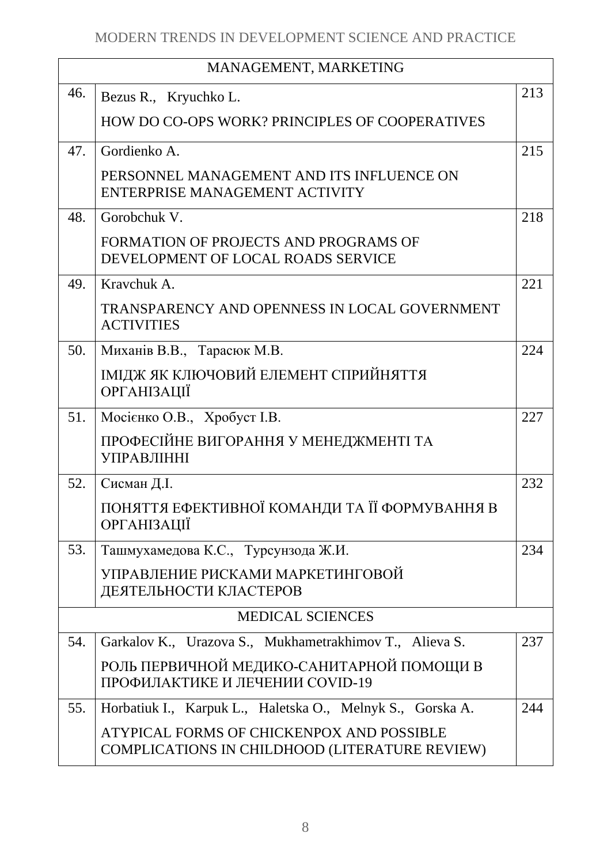| MANAGEMENT, MARKETING |                                                                                             |     |
|-----------------------|---------------------------------------------------------------------------------------------|-----|
| 46.                   | Bezus R., Kryuchko L.                                                                       | 213 |
|                       | HOW DO CO-OPS WORK? PRINCIPLES OF COOPERATIVES                                              |     |
| 47.                   | Gordienko A.                                                                                | 215 |
|                       | PERSONNEL MANAGEMENT AND ITS INFLUENCE ON<br>ENTERPRISE MANAGEMENT ACTIVITY                 |     |
| 48.                   | Gorobchuk V.                                                                                | 218 |
|                       | FORMATION OF PROJECTS AND PROGRAMS OF<br>DEVELOPMENT OF LOCAL ROADS SERVICE                 |     |
| 49.                   | Kravchuk A.                                                                                 | 221 |
|                       | TRANSPARENCY AND OPENNESS IN LOCAL GOVERNMENT<br><b>ACTIVITIES</b>                          |     |
| 50.                   | Миханів В.В., Тарасюк М.В.                                                                  | 224 |
|                       | ІМІДЖ ЯК КЛЮЧОВИЙ ЕЛЕМЕНТ СПРИЙНЯТТЯ<br><b>ОРГАНІЗАЦІЇ</b>                                  |     |
| 51.                   | Мосієнко О.В., Хробуст І.В.                                                                 | 227 |
|                       | ПРОФЕСІЙНЕ ВИГОРАННЯ У МЕНЕДЖМЕНТІ ТА<br><b>УПРАВЛІННІ</b>                                  |     |
| 52.                   | Сисман Д.І.                                                                                 | 232 |
|                       | ПОНЯТТЯ ЕФЕКТИВНОЇ КОМАНДИ ТА ЇЇ ФОРМУВАННЯ В<br><b>ОРГАНІЗАЦІЇ</b>                         |     |
| 53.                   | Ташмухамедова К.С., Турсунзода Ж.И.                                                         | 234 |
|                       | УПРАВЛЕНИЕ РИСКАМИ МАРКЕТИНГОВОЙ<br>ДЕЯТЕЛЬНОСТИ КЛАСТЕРОВ                                  |     |
|                       | <b>MEDICAL SCIENCES</b>                                                                     |     |
| 54.                   | Garkalov K., Urazova S., Mukhametrakhimov T., Alieva S.                                     | 237 |
|                       | РОЛЬ ПЕРВИЧНОЙ МЕДИКО-САНИТАРНОЙ ПОМОЩИ В<br>ПРОФИЛАКТИКЕ И ЛЕЧЕНИИ COVID-19                |     |
| 55.                   | Horbatiuk I., Karpuk L., Haletska O., Melnyk S., Gorska A.                                  | 244 |
|                       | ATYPICAL FORMS OF CHICKENPOX AND POSSIBLE<br>COMPLICATIONS IN CHILDHOOD (LITERATURE REVIEW) |     |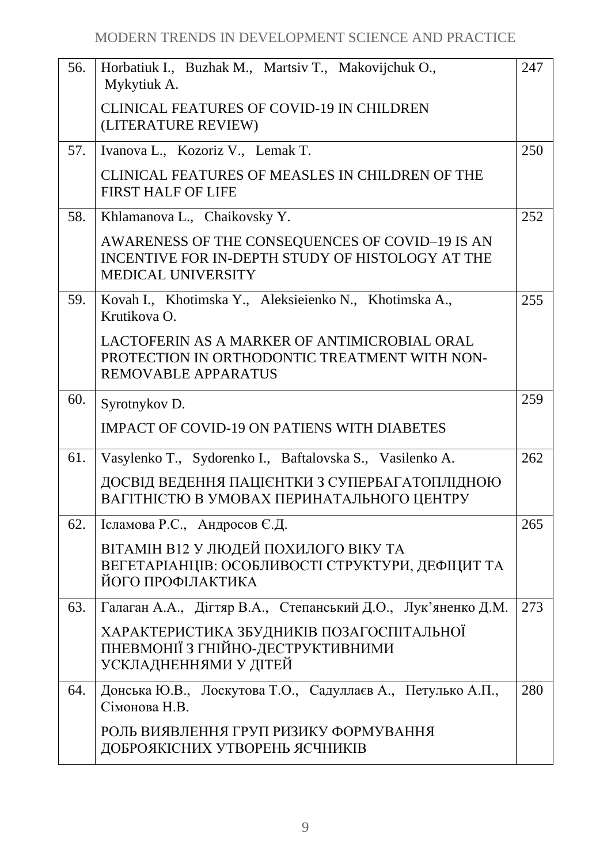| 56. | Horbatiuk I., Buzhak M., Martsiv T., Makovijchuk O.,<br>Mykytiuk A.                                                              | 247 |
|-----|----------------------------------------------------------------------------------------------------------------------------------|-----|
|     | <b>CLINICAL FEATURES OF COVID-19 IN CHILDREN</b><br>(LITERATURE REVIEW)                                                          |     |
| 57. | Ivanova L., Kozoriz V., Lemak T.                                                                                                 | 250 |
|     | CLINICAL FEATURES OF MEASLES IN CHILDREN OF THE<br><b>FIRST HALF OF LIFE</b>                                                     |     |
| 58. | Khlamanova L., Chaikovsky Y.                                                                                                     | 252 |
|     | AWARENESS OF THE CONSEQUENCES OF COVID-19 IS AN<br>INCENTIVE FOR IN-DEPTH STUDY OF HISTOLOGY AT THE<br><b>MEDICAL UNIVERSITY</b> |     |
| 59. | Kovah I., Khotimska Y., Aleksieienko N., Khotimska A.,<br>Krutikova O.                                                           | 255 |
|     | LACTOFERIN AS A MARKER OF ANTIMICROBIAL ORAL<br>PROTECTION IN ORTHODONTIC TREATMENT WITH NON-<br><b>REMOVABLE APPARATUS</b>      |     |
| 60. | Syrotnykov D.                                                                                                                    | 259 |
|     | <b>IMPACT OF COVID-19 ON PATIENS WITH DIABETES</b>                                                                               |     |
| 61. | Vasylenko T., Sydorenko I., Baftalovska S., Vasilenko A.                                                                         | 262 |
|     | ДОСВІД ВЕДЕННЯ ПАЦІЄНТКИ З СУПЕРБАГАТОПЛІДНОЮ<br>ВАГІТНІСТЮ В УМОВАХ ПЕРИНАТАЛЬНОГО ЦЕНТРУ                                       |     |
| 62. | Ісламова Р.С., Андросов Є.Д.                                                                                                     | 265 |
|     | ВІТАМІН В12 У ЛЮДЕЙ ПОХИЛОГО ВІКУ ТА<br>ВЕГЕТАРІАНЦІВ: ОСОБЛИВОСТІ СТРУКТУРИ, ДЕФІЦИТ ТА<br>ЙОГО ПРОФІЛАКТИКА                    |     |
| 63. | Галаган А.А., Дігтяр В.А., Степанський Д.О., Лук'яненко Д.М.                                                                     | 273 |
|     | ХАРАКТЕРИСТИКА ЗБУДНИКІВ ПОЗАГОСПІТАЛЬНОЇ<br>ПНЕВМОНІЇ З ГНІЙНО-ДЕСТРУКТИВНИМИ<br>УСКЛАДНЕННЯМИ У ДІТЕЙ                          |     |
| 64. | Донська Ю.В., Лоскутова Т.О., Садуллаєв А., Петулько А.П.,<br>Сімонова Н.В.                                                      | 280 |
|     | РОЛЬ ВИЯВЛЕННЯ ГРУП РИЗИКУ ФОРМУВАННЯ<br>ДОБРОЯКІСНИХ УТВОРЕНЬ ЯЄЧНИКІВ                                                          |     |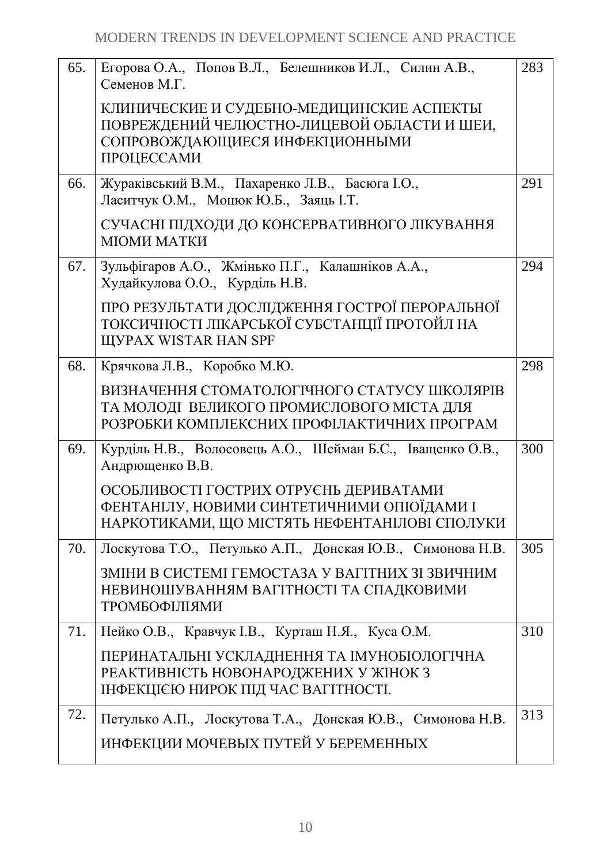| 65. | Егорова О.А., Попов В.Л., Белешников И.Л., Силин А.В.,                                                                                   | 283 |
|-----|------------------------------------------------------------------------------------------------------------------------------------------|-----|
|     | Семенов М.Г.                                                                                                                             |     |
|     | КЛИНИЧЕСКИЕ И СУДЕБНО-МЕДИЦИНСКИЕ АСПЕКТЫ<br>ПОВРЕЖДЕНИЙ ЧЕЛЮСТНО-ЛИЦЕВОЙ ОБЛАСТИ И ШЕИ,<br>СОПРОВОЖДАЮЩИЕСЯ ИНФЕКЦИОННЫМИ<br>ПРОЦЕССАМИ |     |
|     |                                                                                                                                          |     |
| 66. | Жураківський В.М., Пахаренко Л.В., Басюга І.О.,<br>Ласитчук О.М., Моцюк Ю.Б., Заяць І.Т.                                                 | 291 |
|     | СУЧАСНІ ПІДХОДИ ДО КОНСЕРВАТИВНОГО ЛІКУВАННЯ<br>МІОМИ МАТКИ                                                                              |     |
| 67. | Зульфігаров А.О., Жмінько П.Г., Калашніков А.А.,<br>Худайкулова О.О., Курділь Н.В.                                                       | 294 |
|     | ПРО РЕЗУЛЬТАТИ ДОСЛІДЖЕННЯ ГОСТРОЇ ПЕРОРАЛЬНОЇ<br>ТОКСИЧНОСТІ ЛІКАРСЬКОЇ СУБСТАНЦІЇ ПРОТОЙЛ НА<br><b>ЩУРАХ WISTAR HAN SPF</b>            |     |
| 68. | Крячкова Л.В., Коробко М.Ю.                                                                                                              | 298 |
|     | ВИЗНАЧЕННЯ СТОМАТОЛОГІЧНОГО СТАТУСУ ШКОЛЯРІВ<br>ТА МОЛОДІ ВЕЛИКОГО ПРОМИСЛОВОГО МІСТА ДЛЯ<br>РОЗРОБКИ КОМПЛЕКСНИХ ПРОФІЛАКТИЧНИХ ПРОГРАМ |     |
| 69. | Курділь Н.В., Волосовець А.О., Шейман Б.С., Іващенко О.В.,<br>Андрющенко В.В.                                                            | 300 |
|     | ОСОБЛИВОСТІ ГОСТРИХ ОТРУЄНЬ ДЕРИВАТАМИ<br>ФЕНТАНІЛУ, НОВИМИ СИНТЕТИЧНИМИ ОПІОЇДАМИ І<br>НАРКОТИКАМИ, ЩО МІСТЯТЬ НЕФЕНТАНІЛОВІ СПОЛУКИ    |     |
| 70. | Лоскутова Т.О., Петулько А.П., Донская Ю.В., Симонова Н.В.                                                                               | 305 |
|     | ЗМІНИ В СИСТЕМІ ГЕМОСТАЗА У ВАГІТНИХ ЗІ ЗВИЧНИМ<br>НЕВИНОШУВАННЯМ ВАГІТНОСТІ ТА СПАДКОВИМИ<br>ТРОМБОФІЛІЯМИ                              |     |
| 71. | Нейко О.В., Кравчук I.В., Курташ Н.Я., Куса О.М.                                                                                         | 310 |
|     | ПЕРИНАТАЛЬНІ УСКЛАДНЕННЯ ТА ІМУНОБІОЛОГІЧНА<br>РЕАКТИВНІСТЬ НОВОНАРОДЖЕНИХ У ЖІНОК З<br>ІНФЕКЦІЄЮ НИРОК ПІД ЧАС ВАГІТНОСТІ.              |     |
| 72. | Петулько А.П., Лоскутова Т.А., Донская Ю.В., Симонова Н.В.                                                                               | 313 |
|     | ИНФЕКЦИИ МОЧЕВЫХ ПУТЕЙ У БЕРЕМЕННЫХ                                                                                                      |     |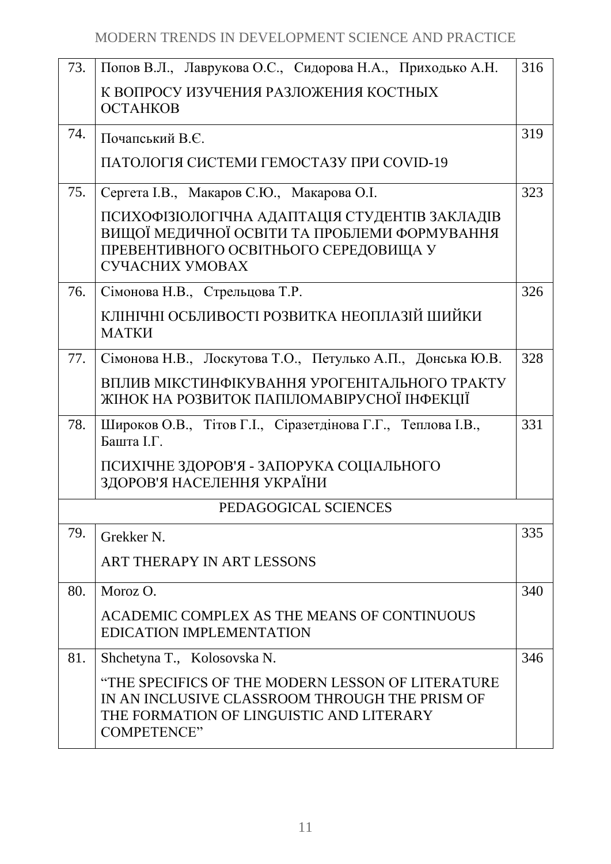| 73. | Попов В.Л., Лаврукова О.С., Сидорова Н.А., Приходько А.Н.                                                                                                             | 316 |
|-----|-----------------------------------------------------------------------------------------------------------------------------------------------------------------------|-----|
|     | К ВОПРОСУ ИЗУЧЕНИЯ РАЗЛОЖЕНИЯ КОСТНЫХ                                                                                                                                 |     |
|     | <b>OCTAHKOB</b>                                                                                                                                                       |     |
| 74. | Почапський В.Є.                                                                                                                                                       | 319 |
|     | ПАТОЛОГІЯ СИСТЕМИ ГЕМОСТАЗУ ПРИ СОVID-19                                                                                                                              |     |
| 75. | Сергета І.В., Макаров С.Ю., Макарова О.І.                                                                                                                             | 323 |
|     | ПСИХОФІЗІОЛОГІЧНА АДАПТАЦІЯ СТУДЕНТІВ ЗАКЛАДІВ<br>ВИЩОЇ МЕДИЧНОЇ ОСВІТИ ТА ПРОБЛЕМИ ФОРМУВАННЯ<br>ПРЕВЕНТИВНОГО ОСВІТНЬОГО СЕРЕДОВИЩА У<br>СУЧАСНИХ УМОВАХ            |     |
| 76. | Сімонова Н.В., Стрельцова Т.Р.                                                                                                                                        | 326 |
|     | КЛІНІЧНІ ОСБЛИВОСТІ РОЗВИТКА НЕОПЛАЗІЙ ШИЙКИ<br><b>MATKH</b>                                                                                                          |     |
| 77. | Сімонова Н.В., Лоскутова Т.О., Петулько А.П., Донська Ю.В.                                                                                                            | 328 |
|     | ВПЛИВ МІКСТИНФІКУВАННЯ УРОГЕНІТАЛЬНОГО ТРАКТУ<br>ЖІНОК НА РОЗВИТОК ПАПІЛОМАВІРУСНОЇ ІНФЕКЦІЇ                                                                          |     |
| 78. | Широков О.В., Тітов Г.І., Сіразетдінова Г.Г., Теплова І.В.,<br>Башта І.Г.                                                                                             | 331 |
|     | ПСИХІЧНЕ ЗДОРОВ'Я - ЗАПОРУКА СОЦІАЛЬНОГО<br>ЗДОРОВ'Я НАСЕЛЕННЯ УКРАЇНИ                                                                                                |     |
|     | PEDAGOGICAL SCIENCES                                                                                                                                                  |     |
| 79. | Grekker N.                                                                                                                                                            | 335 |
|     | ART THERAPY IN ART LESSONS                                                                                                                                            |     |
| 80. | Moroz O.                                                                                                                                                              | 340 |
|     | ACADEMIC COMPLEX AS THE MEANS OF CONTINUOUS<br><b>EDICATION IMPLEMENTATION</b>                                                                                        |     |
| 81. | Shchetyna T., Kolosovska N.                                                                                                                                           | 346 |
|     | "THE SPECIFICS OF THE MODERN LESSON OF LITERATURE<br>IN AN INCLUSIVE CLASSROOM THROUGH THE PRISM OF<br>THE FORMATION OF LINGUISTIC AND LITERARY<br><b>COMPETENCE"</b> |     |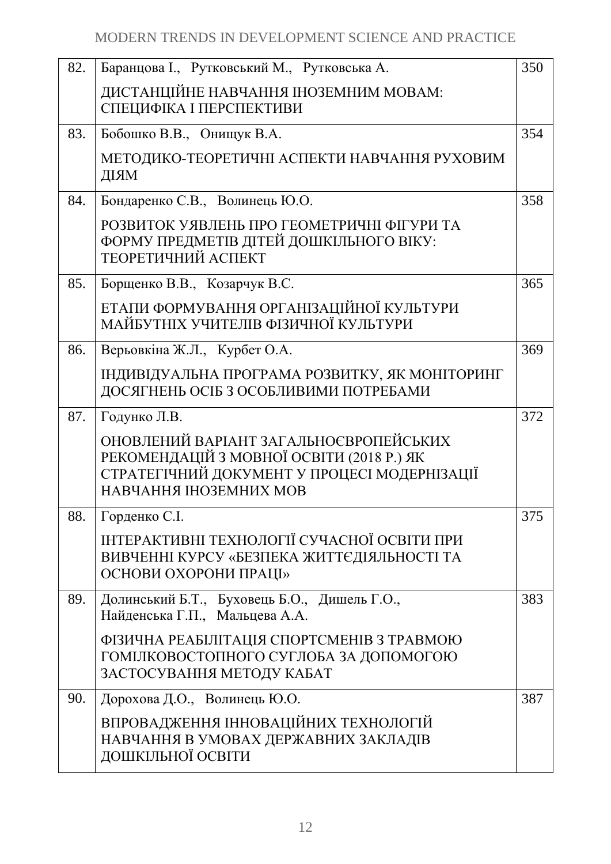| 82. | Баранцова I., Рутковський М., Рутковська А.                                                                                                                   | 350 |
|-----|---------------------------------------------------------------------------------------------------------------------------------------------------------------|-----|
|     | ДИСТАНЦІЙНЕ НАВЧАННЯ ІНОЗЕМНИМ МОВАМ:<br>СПЕЦИФІКА І ПЕРСПЕКТИВИ                                                                                              |     |
| 83. | Бобошко В.В., Онищук В.А.                                                                                                                                     | 354 |
|     | МЕТОДИКО-ТЕОРЕТИЧНІ АСПЕКТИ НАВЧАННЯ РУХОВИМ<br>ДІЯМ                                                                                                          |     |
| 84. | Бондаренко С.В., Волинець Ю.О.                                                                                                                                | 358 |
|     | РОЗВИТОК УЯВЛЕНЬ ПРО ГЕОМЕТРИЧНІ ФІГУРИ ТА<br>ФОРМУ ПРЕДМЕТІВ ДІТЕЙ ДОШКІЛЬНОГО ВІКУ:<br>ТЕОРЕТИЧНИЙ АСПЕКТ                                                   |     |
| 85. | Борщенко В.В., Козарчук В.С.                                                                                                                                  | 365 |
|     | ЕТАПИ ФОРМУВАННЯ ОРГАНІЗАЦІЙНОЇ КУЛЬТУРИ<br>МАЙБУТНІХ УЧИТЕЛІВ ФІЗИЧНОЇ КУЛЬТУРИ                                                                              |     |
| 86. | Верьовкіна Ж.Л., Курбет О.А.                                                                                                                                  | 369 |
|     | ІНДИВІДУАЛЬНА ПРОГРАМА РОЗВИТКУ, ЯК МОНІТОРИНГ<br>ДОСЯГНЕНЬ ОСІБ З ОСОБЛИВИМИ ПОТРЕБАМИ                                                                       |     |
| 87. | Годунко Л.В.                                                                                                                                                  | 372 |
|     | ОНОВЛЕНИЙ ВАРІАНТ ЗАГАЛЬНОЄВРОПЕЙСЬКИХ<br>РЕКОМЕНДАЦІЙ З МОВНОЇ ОСВІТИ (2018 Р.) ЯК<br>СТРАТЕГІЧНИЙ ДОКУМЕНТ У ПРОЦЕСІ МОДЕРНІЗАЦІЇ<br>НАВЧАННЯ ІНОЗЕМНИХ МОВ |     |
| 88. | Горденко С.І.                                                                                                                                                 | 375 |
|     | ІНТЕРАКТИВНІ ТЕХНОЛОГІЇ СУЧАСНОЇ ОСВІТИ ПРИ<br>ВИВЧЕННІ КУРСУ «БЕЗПЕКА ЖИТТЄДІЯЛЬНОСТІ ТА<br>ОСНОВИ ОХОРОНИ ПРАЦІ»                                            |     |
| 89. | Долинський Б.Т., Буховець Б.О., Дишель Г.О.,<br>Найденська Г.П., Мальцева А.А.                                                                                | 383 |
|     | ФІЗИЧНА РЕАБІЛІТАЦІЯ СПОРТСМЕНІВ З ТРАВМОЮ<br>ГОМІЛКОВОСТОПНОГО СУГЛОБА ЗА ДОПОМОГОЮ<br>ЗАСТОСУВАННЯ МЕТОДУ КАБАТ                                             |     |
| 90. | Дорохова Д.О., Волинець Ю.О.                                                                                                                                  | 387 |
|     | ВПРОВАДЖЕННЯ ІННОВАЦІЙНИХ ТЕХНОЛОГІЙ<br>НАВЧАННЯ В УМОВАХ ДЕРЖАВНИХ ЗАКЛАДІВ<br>ДОШКІЛЬНОЇ ОСВІТИ                                                             |     |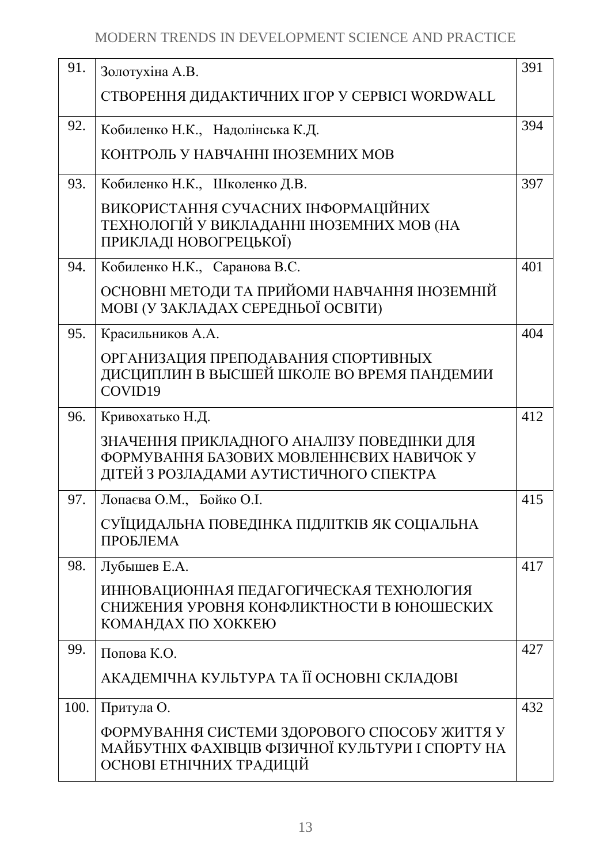| 91.  | Золотухіна А.В.                                                                                                                  | 391 |
|------|----------------------------------------------------------------------------------------------------------------------------------|-----|
|      | СТВОРЕННЯ ДИДАКТИЧНИХ IГОР У СЕРВІСІ WORDWALL                                                                                    |     |
| 92.  | Кобиленко Н.К., Надолінська К.Д.                                                                                                 | 394 |
|      | КОНТРОЛЬ У НАВЧАННІ ІНОЗЕМНИХ МОВ                                                                                                |     |
| 93.  | Кобиленко Н.К., Школенко Д.В.                                                                                                    | 397 |
|      | ВИКОРИСТАННЯ СУЧАСНИХ ІНФОРМАЦІЙНИХ<br>ТЕХНОЛОГІЙ У ВИКЛАДАННІ ІНОЗЕМНИХ МОВ (НА<br>ПРИКЛАДІ НОВОГРЕЦЬКОЇ)                       |     |
| 94.  | Кобиленко Н.К., Саранова В.С.                                                                                                    | 401 |
|      | ОСНОВНІ МЕТОДИ ТА ПРИЙОМИ НАВЧАННЯ ІНОЗЕМНІЙ<br>МОВІ (У ЗАКЛАДАХ СЕРЕДНЬОЇ ОСВІТИ)                                               |     |
| 95.  | Красильников А.А.                                                                                                                | 404 |
|      | ОРГАНИЗАЦИЯ ПРЕПОДАВАНИЯ СПОРТИВНЫХ<br>ДИСЦИПЛИН В ВЫСШЕЙ ШКОЛЕ ВО ВРЕМЯ ПАНДЕМИИ<br>COVID19                                     |     |
| 96.  | Кривохатько Н.Д.                                                                                                                 | 412 |
|      | ЗНАЧЕННЯ ПРИКЛАДНОГО АНАЛІЗУ ПОВЕДІНКИ ДЛЯ<br>ФОРМУВАННЯ БАЗОВИХ МОВЛЕННЄВИХ НАВИЧОК У<br>ДІТЕЙ З РОЗЛАДАМИ АУТИСТИЧНОГО СПЕКТРА |     |
| 97.  | Лопаєва О.М., Бойко О.І.                                                                                                         | 415 |
|      | СУЇЦИДАЛЬНА ПОВЕДІНКА ПІДЛІТКІВ ЯК СОЦІАЛЬНА<br>ПРОБЛЕМА                                                                         |     |
| 98.  | Лубышев Е.А.                                                                                                                     | 417 |
|      | ИННОВАЦИОННАЯ ПЕДАГОГИЧЕСКАЯ ТЕХНОЛОГИЯ<br>СНИЖЕНИЯ УРОВНЯ КОНФЛИКТНОСТИ В ЮНОШЕСКИХ<br>КОМАНДАХ ПО ХОККЕЮ                       |     |
| 99.  | Попова К.О.                                                                                                                      | 427 |
|      | АКАДЕМІЧНА КУЛЬТУРА ТА ЇЇ ОСНОВНІ СКЛАДОВІ                                                                                       |     |
| 100. | Притула О.                                                                                                                       | 432 |
|      | ФОРМУВАННЯ СИСТЕМИ ЗДОРОВОГО СПОСОБУ ЖИТТЯ У<br>МАЙБУТНІХ ФАХІВЦІВ ФІЗИЧНОЇ КУЛЬТУРИ І СПОРТУ НА<br>ОСНОВІ ЕТНІЧНИХ ТРАДИЦІЙ     |     |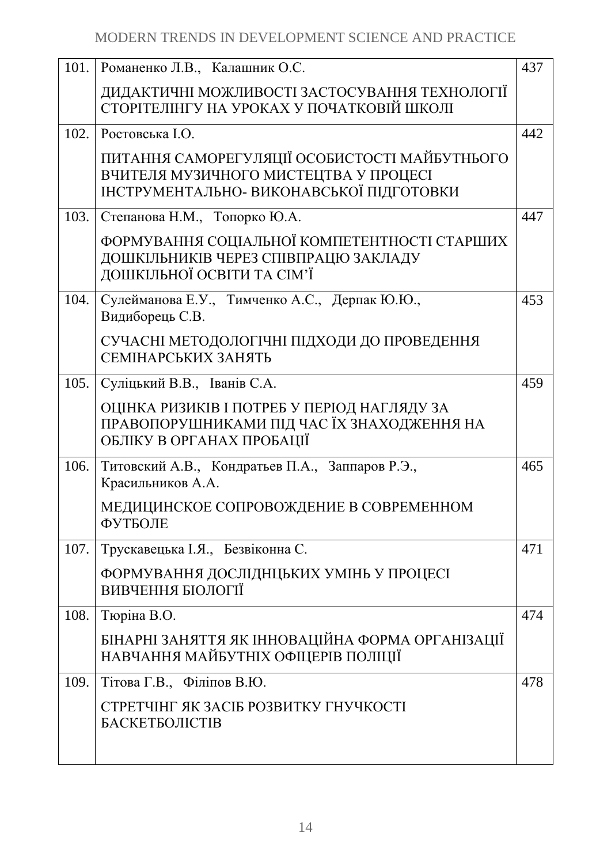| 101. | Романенко Л.В., Калашник О.С.                                                                                                      | 437 |
|------|------------------------------------------------------------------------------------------------------------------------------------|-----|
|      | ДИДАКТИЧНІ МОЖЛИВОСТІ ЗАСТОСУВАННЯ ТЕХНОЛОГІЇ<br>СТОРІТЕЛІНГУ НА УРОКАХ У ПОЧАТКОВІЙ ШКОЛІ                                         |     |
|      | 102. Ростовська І.О.                                                                                                               | 442 |
|      | ПИТАННЯ САМОРЕГУЛЯЦІЇ ОСОБИСТОСТІ МАЙБУТНЬОГО<br>ВЧИТЕЛЯ МУЗИЧНОГО МИСТЕЦТВА У ПРОЦЕСІ<br>ІНСТРУМЕНТАЛЬНО- ВИКОНАВСЬКОЇ ПІДГОТОВКИ |     |
| 103. | Степанова Н.М., Топорко Ю.А.                                                                                                       | 447 |
|      | ФОРМУВАННЯ СОЦІАЛЬНОЇ КОМПЕТЕНТНОСТІ СТАРШИХ<br>ДОШКІЛЬНИКІВ ЧЕРЕЗ СПІВПРАЦЮ ЗАКЛАДУ<br>ДОШКІЛЬНОЇ ОСВІТИ ТА СІМ'Ї                 |     |
| 104. | Сулейманова Е.У., Тимченко А.С., Дерпак Ю.Ю.,<br>Видиборець С.В.                                                                   | 453 |
|      | СУЧАСНІ МЕТОДОЛОГІЧНІ ПІДХОДИ ДО ПРОВЕДЕННЯ<br>СЕМІНАРСЬКИХ ЗАНЯТЬ                                                                 |     |
| 105. | Суліцький В.В., Іванів С.А.                                                                                                        | 459 |
|      | ОЦІНКА РИЗИКІВ І ПОТРЕБ У ПЕРІОД НАГЛЯДУ ЗА<br>ПРАВОПОРУШНИКАМИ ПІД ЧАС ЇХ ЗНАХОДЖЕННЯ НА<br>ОБЛІКУ В ОРГАНАХ ПРОБАЦІЇ             |     |
| 106. | Титовский А.В., Кондратьев П.А., Заппаров Р.Э.,<br>Красильников А.А.                                                               | 465 |
|      | МЕДИЦИНСКОЕ СОПРОВОЖДЕНИЕ В СОВРЕМЕННОМ<br>ФУТБОЛЕ                                                                                 |     |
| 107. | Трускавецька І.Я., Безвіконна С.                                                                                                   | 471 |
|      | ФОРМУВАННЯ ДОСЛІДНЦЬКИХ УМІНЬ У ПРОЦЕСІ<br>ВИВЧЕННЯ БІОЛОГІЇ                                                                       |     |
| 108. | Тюріна В.О.                                                                                                                        | 474 |
|      | БІНАРНІ ЗАНЯТТЯ ЯК ІННОВАЦІЙНА ФОРМА ОРГАНІЗАЦІЇ<br>НАВЧАННЯ МАЙБУТНІХ ОФІЦЕРІВ ПОЛІЦІЇ                                            |     |
| 109. | Тітова Г.В., Філіпов В.Ю.                                                                                                          | 478 |
|      | СТРЕТЧІНГ ЯК ЗАСІБ РОЗВИТКУ ГНУЧКОСТІ<br><b>БАСКЕТБОЛІСТІВ</b>                                                                     |     |
|      |                                                                                                                                    |     |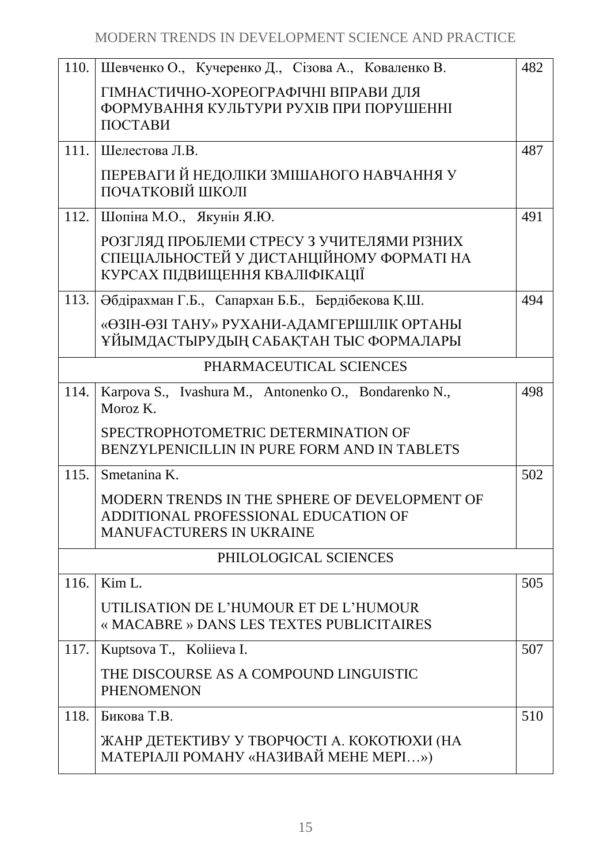| 110. | Шевченко О., Кучеренко Д., Сізова А., Коваленко В.                                                                        | 482 |
|------|---------------------------------------------------------------------------------------------------------------------------|-----|
|      | ГІМНАСТИЧНО-ХОРЕОГРАФІЧНІ ВПРАВИ ДЛЯ<br>ФОРМУВАННЯ КУЛЬТУРИ РУХІВ ПРИ ПОРУШЕННІ<br>ПОСТАВИ                                |     |
| 111. | Шелестова Л.В.                                                                                                            | 487 |
|      | ПЕРЕВАГИ Й НЕДОЛІКИ ЗМІШАНОГО НАВЧАННЯ У<br>ПОЧАТКОВІЙ ШКОЛІ                                                              |     |
|      | 112. Шопіна М.О., Якунін Я.Ю.                                                                                             | 491 |
|      | РОЗГЛЯД ПРОБЛЕМИ СТРЕСУ З УЧИТЕЛЯМИ РІЗНИХ<br>СПЕЦІАЛЬНОСТЕЙ У ДИСТАНЦІЙНОМУ ФОРМАТІ НА<br>КУРСАХ ПІДВИЩЕННЯ КВАЛІФІКАЦІЇ |     |
| 113. | Әбдірахман Г.Б., Сапархан Б.Б., Бердібекова Қ.Ш.                                                                          | 494 |
|      | «ӨЗІН-ӨЗІ ТАНУ» РУХАНИ-АДАМГЕРШІЛІК ОРТАНЫ<br>ҰЙЫМДАСТЫРУДЫҢ САБАҚТАН ТЫС ФОРМАЛАРЫ                                       |     |
|      | PHARMACEUTICAL SCIENCES                                                                                                   |     |
| 114. | Karpova S., Ivashura M., Antonenko O., Bondarenko N.,<br>Moroz K.                                                         | 498 |
|      | SPECTROPHOTOMETRIC DETERMINATION OF<br>BENZYLPENICILLIN IN PURE FORM AND IN TABLETS                                       |     |
| 115. | Smetanina K.                                                                                                              | 502 |
|      | MODERN TRENDS IN THE SPHERE OF DEVELOPMENT OF<br>ADDITIONAL PROFESSIONAL EDUCATION OF<br><b>MANUFACTURERS IN UKRAINE</b>  |     |
|      | PHILOLOGICAL SCIENCES                                                                                                     |     |
| 116. | Kim L.                                                                                                                    | 505 |
|      | UTILISATION DE L'HUMOUR ET DE L'HUMOUR<br>« MACABRE » DANS LES TEXTES PUBLICITAIRES                                       |     |
| 117. | Kuptsova T., Koliieva I.                                                                                                  | 507 |
|      | THE DISCOURSE AS A COMPOUND LINGUISTIC<br><b>PHENOMENON</b>                                                               |     |
| 118. | Бикова Т.В.                                                                                                               | 510 |
|      | ЖАНР ДЕТЕКТИВУ У ТВОРЧОСТІ А. КОКОТЮХИ (НА<br>МАТЕРІАЛІ РОМАНУ «НАЗИВАЙ МЕНЕ МЕРІ»)                                       |     |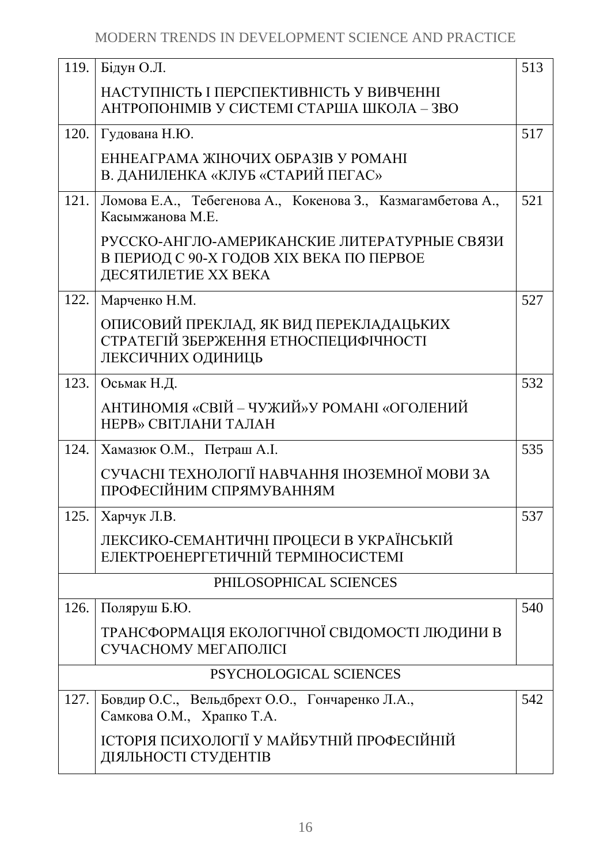| 119. | Бідун О.Л.                                                                                                      | 513 |
|------|-----------------------------------------------------------------------------------------------------------------|-----|
|      | НАСТУПНІСТЬ І ПЕРСПЕКТИВНІСТЬ У ВИВЧЕННІ<br>АНТРОПОНІМІВ У СИСТЕМІ СТАРША ШКОЛА – ЗВО                           |     |
| 120. | Гудована Н.Ю.                                                                                                   | 517 |
|      | ЕННЕАГРАМА ЖІНОЧИХ ОБРАЗІВ У РОМАНІ<br>В. ДАНИЛЕНКА «КЛУБ «СТАРИЙ ПЕГАС»                                        |     |
| 121. | Ломова Е.А., Тебегенова А., Кокенова З., Казмагамбетова А.,<br>Касымжанова М.Е.                                 | 521 |
|      | РУССКО-АНГЛО-АМЕРИКАНСКИЕ ЛИТЕРАТУРНЫЕ СВЯЗИ<br>В ПЕРИОД С 90-Х ГОДОВ XIX ВЕКА ПО ПЕРВОЕ<br>ДЕСЯТИЛЕТИЕ ХХ ВЕКА |     |
| 122. | Марченко Н.М.                                                                                                   | 527 |
|      | ОПИСОВИЙ ПРЕКЛАД, ЯК ВИД ПЕРЕКЛАДАЦЬКИХ<br>СТРАТЕГІЙ ЗБЕРЖЕННЯ ЕТНОСПЕЦИФІЧНОСТІ<br>ЛЕКСИЧНИХ ОДИНИЦЬ           |     |
| 123. | Осьмак Н.Д.                                                                                                     | 532 |
|      | АНТИНОМІЯ «СВІЙ - ЧУЖИЙ» У РОМАНІ «ОГОЛЕНИЙ<br>НЕРВ» СВІТЛАНИ ТАЛАН                                             |     |
| 124. | Хамазюк О.М., Петраш А.І.                                                                                       | 535 |
|      | СУЧАСНІ ТЕХНОЛОГІЇ НАВЧАННЯ ІНОЗЕМНОЇ МОВИ ЗА<br>ПРОФЕСІЙНИМ СПРЯМУВАННЯМ                                       |     |
| 125. | Харчук Л.В.                                                                                                     | 537 |
|      | ЛЕКСИКО-СЕМАНТИЧНІ ПРОЦЕСИ В УКРАЇНСЬКІЙ<br>ЕЛЕКТРОЕНЕРГЕТИЧНІЙ ТЕРМІНОСИСТЕМІ                                  |     |
|      | PHILOSOPHICAL SCIENCES                                                                                          |     |
| 126. | Поляруш Б.Ю.                                                                                                    | 540 |
|      | ТРАНСФОРМАЦІЯ ЕКОЛОГІЧНОЇ СВІДОМОСТІ ЛЮДИНИ В<br>СУЧАСНОМУ МЕГАПОЛІСІ                                           |     |
|      | PSYCHOLOGICAL SCIENCES                                                                                          |     |
| 127. | Бовдир О.С., Вельдбрехт О.О., Гончаренко Л.А.,<br>Самкова О.М., Храпко Т.А.                                     | 542 |
|      | ІСТОРІЯ ПСИХОЛОГІЇ У МАЙБУТНІЙ ПРОФЕСІЙНІЙ<br>ДІЯЛЬНОСТІ СТУДЕНТІВ                                              |     |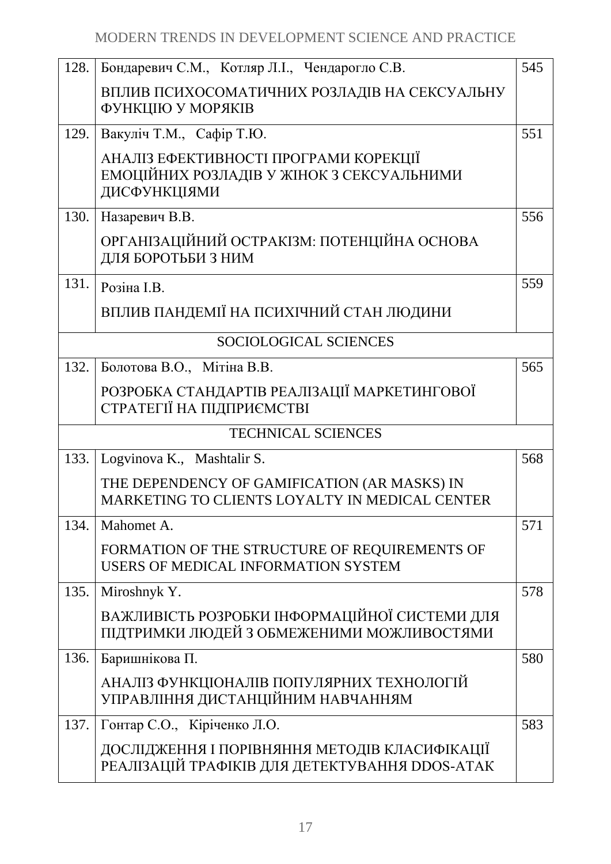| 128.                  | Бондаревич С.М., Котляр Л.І., Чендарогло С.В.                                                      | 545 |
|-----------------------|----------------------------------------------------------------------------------------------------|-----|
|                       | ВПЛИВ ПСИХОСОМАТИЧНИХ РОЗЛАДІВ НА СЕКСУАЛЬНУ<br>ФУНКЦІЮ У МОРЯКІВ                                  |     |
| 129.                  | Вакуліч Т.М., Сафір Т.Ю.                                                                           | 551 |
|                       | АНАЛІЗ ЕФЕКТИВНОСТІ ПРОГРАМИ КОРЕКЦІЇ<br>ЕМОЦІЙНИХ РОЗЛАДІВ У ЖІНОК З СЕКСУАЛЬНИМИ<br>ДИСФУНКЦІЯМИ |     |
| 130.                  | Назаревич В.В.                                                                                     | 556 |
|                       | ОРГАНІЗАЦІЙНИЙ ОСТРАКІЗМ: ПОТЕНЦІЙНА ОСНОВА<br>ДЛЯ БОРОТЬБИ З НИМ                                  |     |
| 131.                  | Розіна I.B.                                                                                        | 559 |
|                       | ВПЛИВ ПАНДЕМІЇ НА ПСИХІЧНИЙ СТАН ЛЮДИНИ                                                            |     |
| SOCIOLOGICAL SCIENCES |                                                                                                    |     |
| 132.                  | Болотова В.О., Мітіна В.В.                                                                         | 565 |
|                       | РОЗРОБКА СТАНДАРТІВ РЕАЛІЗАЦІЇ МАРКЕТИНГОВОЇ<br>СТРАТЕГІЇ НА ПІДПРИЄМСТВІ                          |     |
|                       | <b>TECHNICAL SCIENCES</b>                                                                          |     |
| 133.                  | Logvinova K., Mashtalir S.                                                                         | 568 |
|                       | THE DEPENDENCY OF GAMIFICATION (AR MASKS) IN<br>MARKETING TO CLIENTS LOYALTY IN MEDICAL CENTER     |     |
| 134.                  | Mahomet A.                                                                                         | 571 |
|                       | FORMATION OF THE STRUCTURE OF REQUIREMENTS OF<br>USERS OF MEDICAL INFORMATION SYSTEM               |     |
| 135.                  | Miroshnyk Y.                                                                                       | 578 |
|                       | ВАЖЛИВІСТЬ РОЗРОБКИ ІНФОРМАЦІЙНОЇ СИСТЕМИ ДЛЯ<br>ПІДТРИМКИ ЛЮДЕЙ З ОБМЕЖЕНИМИ МОЖЛИВОСТЯМИ         |     |
| 136.                  | Баришнікова П.                                                                                     | 580 |
|                       | АНАЛІЗ ФУНКЦІОНАЛІВ ПОПУЛЯРНИХ ТЕХНОЛОГІЙ<br>УПРАВЛІННЯ ДИСТАНЦІЙНИМ НАВЧАННЯМ                     |     |
| 137.                  | Гонтар С.О., Кіріченко Л.О.                                                                        | 583 |
|                       | ДОСЛІДЖЕННЯ І ПОРІВНЯННЯ МЕТОДІВ КЛАСИФІКАЦІЇ<br>РЕАЛІЗАЦІЙ ТРАФІКІВ ДЛЯ ДЕТЕКТУВАННЯ DDOS-АТАК    |     |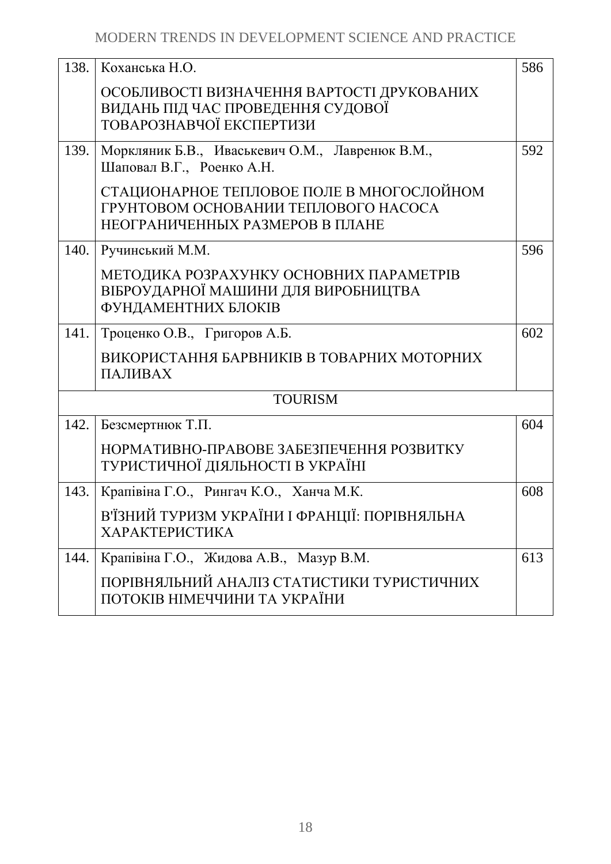| 138. | Коханська Н.О.                                                                                                       | 586 |
|------|----------------------------------------------------------------------------------------------------------------------|-----|
|      | ОСОБЛИВОСТІ ВИЗНАЧЕННЯ ВАРТОСТІ ДРУКОВАНИХ<br>ВИДАНЬ ПІД ЧАС ПРОВЕДЕННЯ СУДОВОЇ<br>ТОВАРОЗНАВЧОЇ ЕКСПЕРТИЗИ          |     |
| 139. | Моркляник Б.В., Иваськевич О.М., Лавренюк В.М.,<br>Шаповал В.Г., Роенко А.Н.                                         | 592 |
|      | СТАЦИОНАРНОЕ ТЕПЛОВОЕ ПОЛЕ В МНОГОСЛОЙНОМ<br>ГРУНТОВОМ ОСНОВАНИИ ТЕПЛОВОГО НАСОСА<br>НЕОГРАНИЧЕННЫХ РАЗМЕРОВ В ПЛАНЕ |     |
| 140. | Ручинський М.М.                                                                                                      | 596 |
|      | МЕТОДИКА РОЗРАХУНКУ ОСНОВНИХ ПАРАМЕТРІВ<br>ВІБРОУДАРНОЇ МАШИНИ ДЛЯ ВИРОБНИЦТВА<br>ФУНДАМЕНТНИХ БЛОКІВ                |     |
| 141. | Троценко О.В., Григоров А.Б.                                                                                         | 602 |
|      | ВИКОРИСТАННЯ БАРВНИКІВ В ТОВАРНИХ МОТОРНИХ<br>ПАЛИВАХ                                                                |     |
|      | <b>TOURISM</b>                                                                                                       |     |
| 142. | Безсмертнюк Т.П.                                                                                                     | 604 |
|      | НОРМАТИВНО-ПРАВОВЕ ЗАБЕЗПЕЧЕННЯ РОЗВИТКУ<br>ТУРИСТИЧНОЇ ДІЯЛЬНОСТІ В УКРАЇНІ                                         |     |
| 143. | Крапівіна Г.О., Рингач К.О., Ханча М.К.                                                                              | 608 |
|      | В'ЇЗНИЙ ТУРИЗМ УКРАЇНИ І ФРАНЦІЇ: ПОРІВНЯЛЬНА<br><b>ХАРАКТЕРИСТИКА</b>                                               |     |
| 144. | Крапівіна Г.О., Жидова А.В., Мазур В.М.                                                                              | 613 |
|      | ПОРІВНЯЛЬНИЙ АНАЛІЗ СТАТИСТИКИ ТУРИСТИЧНИХ<br>ПОТОКІВ НІМЕЧЧИНИ ТА УКРАЇНИ                                           |     |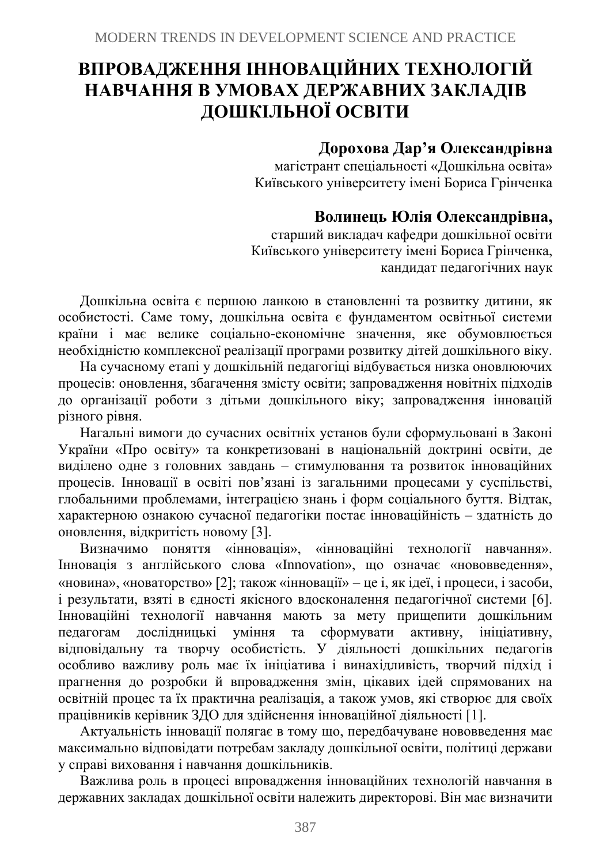# **ВПРОВАДЖЕННЯ ІННОВАЦІЙНИХ ТЕХНОЛОГІЙ НАВЧАННЯ В УМОВАХ ДЕРЖАВНИХ ЗАКЛАДІВ ДОШКІЛЬНОЇ ОСВІТИ**

# **Дорохова Дар'я Олександрівна**

магістрант спеціальності «Дошкільна освіта» Київського університету імені Бориса Грінченка

# **Волинець Юлія Олександрівна,**

старший викладач кафедри дошкільної освіти Київського університету імені Бориса Грінченка, кандидат педагогічних наук

Дошкільна освіта є першою ланкою в становленні та розвитку дитини, як особистості. Саме тому, дошкільна освіта є фундаментом освітньої системи країни і має велике соціально-економічне значення, яке обумовлюється необхідністю комплексної реалізації програми розвитку дітей дошкільного віку.

На сучасному етапі у дошкільній педагогіці відбувається низка оновлюючих процесів: оновлення, збагачення змісту освіти; запровадження новітніх підходів до організації роботи з дітьми дошкільного віку; запровадження інновацій різного рівня.

Нагальні вимоги до сучасних освітніх установ були сформульовані в Законі України «Про освіту» та конкретизовані в національній доктрині освіти, де виділено одне з головних завдань – стимулювання та розвиток інноваційних процесів. Інновації в освіті пов'язані із загальними процесами у суспільстві, глобальними проблемами, інтеграцією знань і форм соціального буття. Відтак, характерною ознакою сучасної педагогіки постає інноваційність – здатність до оновлення, відкритість новому [3].

Визначимо поняття «інновація», «інноваційні технології навчання». Інновація з англійського слова «Innovation», що означає «нововведення», «новина», «новаторство» [2]; також «інновації» − це і, як ідеї, і процеси, і засоби, і результати, взяті в єдності якісного вдосконалення педагогічної системи [6]. Інноваційні технології навчання мають за мету прищепити дошкільним педагогам дослідницькі уміння та сформувати активну, ініціативну, відповідальну та творчу особистість. У діяльності дошкільних педагогів особливо важливу роль має їх ініціатива і винахідливість, творчий підхід і прагнення до розробки й впровадження змін, цікавих ідей спрямованих на освітній процес та їх практична реалізація, а також умов, які створює для своїх працівників керівник ЗДО для здійснення інноваційної діяльності [1].

Актуальність інновації полягає в тому що, передбачуване нововведення має максимально відповідати потребам закладу дошкільної освіти, політиці держави у справі виховання і навчання дошкільників.

Важлива роль в процесі впровадження інноваційних технологій навчання в державних закладах дошкільної освіти належить директорові. Він має визначити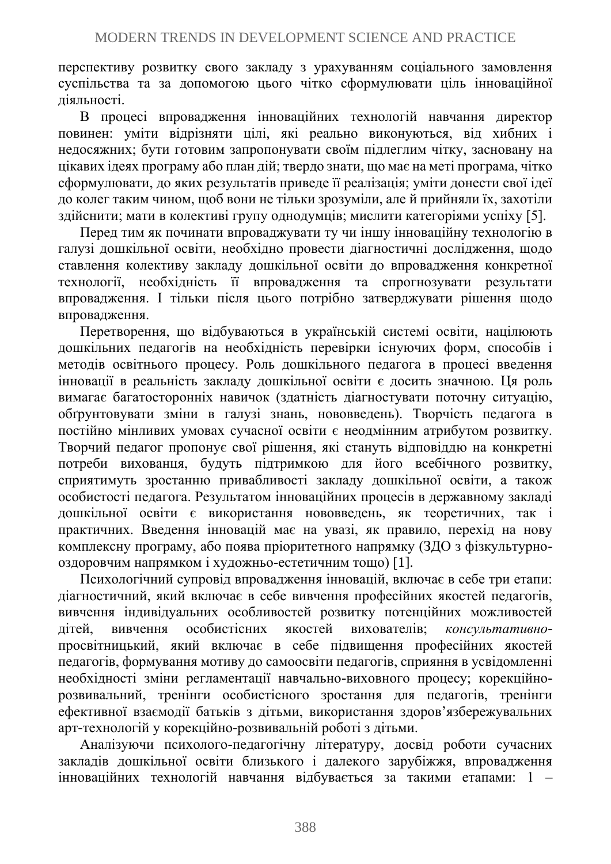перспективу розвитку свого закладу з урахуванням соціального замовлення суспільства та за допомогою цього чітко сформулювати ціль інноваційної діяльності.

В процесі впровадження інноваційних технологій навчання директор повинен: уміти відрізняти цілі, які реально виконуються, від хибних і недосяжних; бути готовим запропонувати своїм підлеглим чітку, засновану на цікавих ідеях програму або план дій; твердо знати, що має на меті програма, чітко сформулювати, до яких результатів приведе її реалізація; уміти донести свої ідеї до колег таким чином, щоб вони не тільки зрозуміли, але й прийняли їх, захотіли здійснити; мати в колективі групу однодумців; мислити категоріями успіху [5].

Перед тим як починати впроваджувати ту чи іншу інноваційну технологію в галузі дошкільної освіти, необхідно провести діагностичні дослідження, щодо ставлення колективу закладу дошкільної освіти до впровадження конкретної технології, необхідність її впровадження та спрогнозувати результати впровадження. І тільки після цього потрібно затверджувати рішення щодо впровадження.

Перетворення, що відбуваються в українській системі освіти, націлюють дошкільних педагогів на необхідність перевірки існуючих форм, способів і методів освітнього процесу. Роль дошкільного педагога в процесі введення інновації в реальність закладу дошкільної освіти є досить значною. Ця роль вимагає багатосторонніх навичок (здатність діагностувати поточну ситуацію, обґрунтовувати зміни в галузі знань, нововведень). Творчість педагога в постійно мінливих умовах сучасної освіти є неодмінним атрибутом розвитку. Творчий педагог пропонує свої рішення, які стануть відповіддю на конкретні потреби вихованця, будуть підтримкою для його всебічного розвитку, сприятимуть зростанню привабливості закладу дошкільної освіти, а також особистості педагога. Результатом інноваційних процесів в державному закладі дошкільної освіти є використання нововведень, як теоретичних, так і практичних. Введення інновацій має на увазі, як правило, перехід на нову комплексну програму, або поява пріоритетного напрямку (ЗДО з фізкультурнооздоровчим напрямком і художньо-естетичним тощо) [1].

Психологічний супровід впровадження інновацій, включає в себе три етапи: діагностичний, який включає в себе вивчення професійних якостей педагогів, вивчення індивідуальних особливостей розвитку потенційних можливостей дітей, вивчення особистісних якостей вихователів; *консультативно*просвітницький, який включає в себе підвищення професійних якостей педагогів, формування мотиву до самоосвіти педагогів, сприяння в усвідомленні необхідності зміни регламентації навчально-виховного процесу; корекційнорозвивальний, тренінги особистісного зростання для педагогів, тренінги ефективної взаємодії батьків з дітьми, використання здоров'язбережувальних арт-технологій у корекційно-розвивальній роботі з дітьми.

Аналізуючи психолого-педагогічну літературу, досвід роботи сучасних закладів дошкільної освіти близького і далекого зарубіжжя, впровадження інноваційних технологій навчання відбувається за такими етапами: 1 –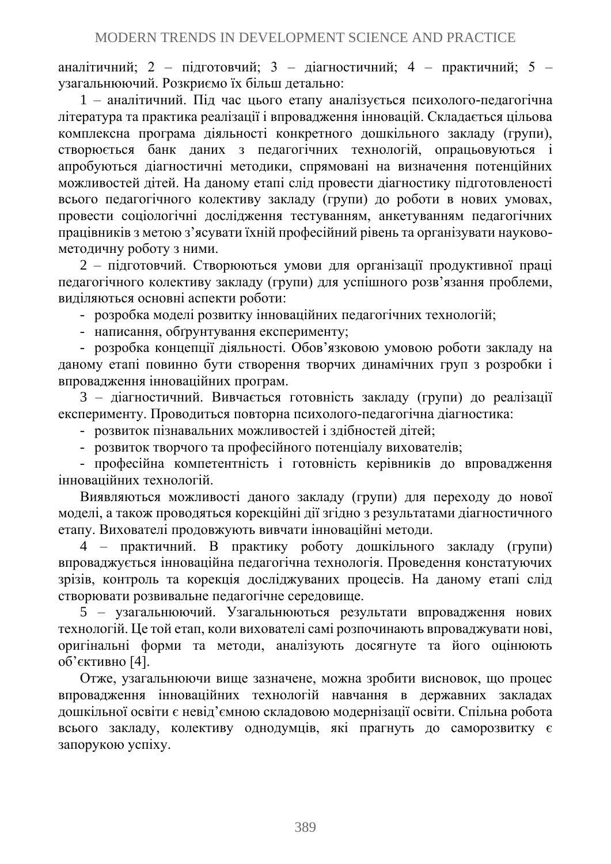аналітичний; 2 – підготовчий; 3 – діагностичний; 4 – практичний; 5 – узагальнюючий. Розкриємо їх більш детально:

1 – аналітичний. Під час цього етапу аналізується психолого-педагогічна література та практика реалізації і впровадження інновацій. Складається цільова комплексна програма діяльності конкретного дошкільного закладу (групи), створюється банк даних з педагогічних технологій, опрацьовуються і апробуються діагностичні методики, спрямовані на визначення потенційних можливостей дітей. На даному етапі слід провести діагностику підготовленості всього педагогічного колективу закладу (групи) до роботи в нових умовах, провести соціологічні дослідження тестуванням, анкетуванням педагогічних працівників з метою з'ясувати їхній професійний рівень та організувати науковометодичну роботу з ними.

2 – підготовчий. Створюються умови для організації продуктивної праці педагогічного колективу закладу (групи) для успішного розв'язання проблеми, виділяються основні аспекти роботи:

- розробка моделі розвитку інноваційних педагогічних технологій;

- написання, обґрунтування експерименту;

- розробка концепції діяльності. Обов'язковою умовою роботи закладу на даному етапі повинно бути створення творчих динамічних груп з розробки і впровадження інноваційних програм.

3 – діагностичний. Вивчається готовність закладу (групи) до реалізації експерименту. Проводиться повторна психолого-педагогічна діагностика:

- розвиток пізнавальних можливостей і здібностей дітей;

- розвиток творчого та професійного потенціалу вихователів;

- професійна компетентність і готовність керівників до впровадження інноваційних технологій.

Виявляються можливості даного закладу (групи) для переходу до нової моделі, а також проводяться корекційні дії згідно з результатами діагностичного етапу. Вихователі продовжують вивчати інноваційні методи.

4 – практичний. В практику роботу дошкільного закладу (групи) впроваджується інноваційна педагогічна технологія. Проведення констатуючих зрізів, контроль та корекція досліджуваних процесів. На даному етапі слід створювати розвивальне педагогічне середовище.

5 – узагальнюючий. Узагальнюються результати впровадження нових технологій. Це той етап, коли вихователі самі розпочинають впроваджувати нові, оригінальні форми та методи, аналізують досягнуте та його оцінюють об'єктивно [4].

Отже, узагальнюючи вище зазначене, можна зробити висновок, що процес впровадження інноваційних технологій навчання в державних закладах дошкільної освіти є невід'ємною складовою модернізації освіти. Спільна робота всього закладу, колективу однодумців, які прагнуть до саморозвитку є запорукою успіху.